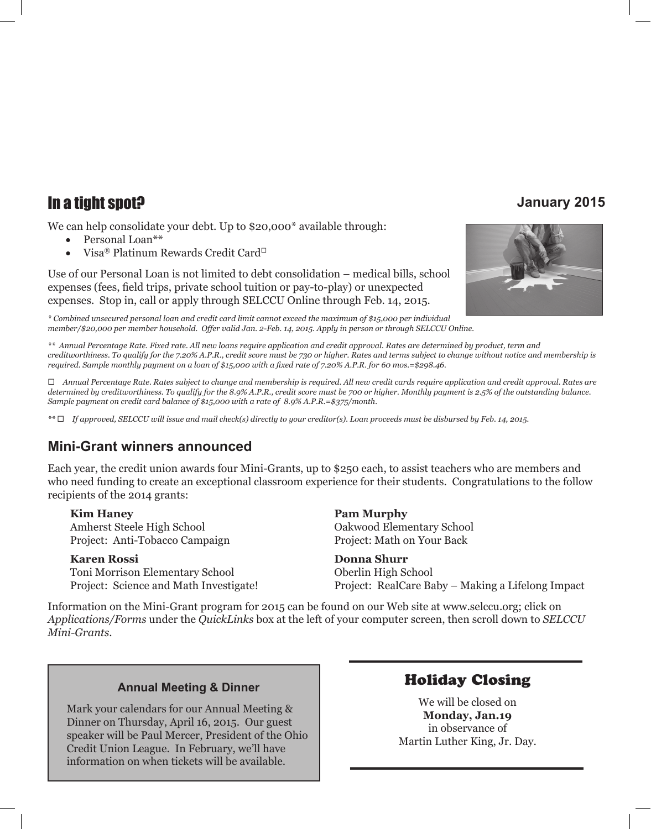## In a tight spot? **January 2015**

We can help consolidate your debt. Up to \$20,000\* available through:

- Personal Loan\*\*
- Visa® Platinum Rewards Credit Card<sup>□</sup>

Use of our Personal Loan is not limited to debt consolidation – medical bills, school expenses (fees, field trips, private school tuition or pay-to-play) or unexpected expenses. Stop in, call or apply through SELCCU Online through Feb. 14, 2015.

*\* Combined unsecured personal loan and credit card limit cannot exceed the maximum of \$15,000 per individual member/\$20,000 per member household. Offer valid Jan. 2-Feb. 14, 2015. Apply in person or through SELCCU Online.*



*\*\* Annual Percentage Rate. Fixed rate. All new loans require application and credit approval. Rates are determined by product, term and creditworthiness. To qualify for the 7.20% A.P.R., credit score must be 730 or higher. Rates and terms subject to change without notice and membership is required. Sample monthly payment on a loan of \$15,000 with a fixed rate of 7.20% A.P.R. for 60 mos.=\$298.46.*

¨ *Annual Percentage Rate. Rates subject to change and membership is required. All new credit cards require application and credit approval. Rates are determined by creditworthiness. To qualify for the 8.9% A.P.R., credit score must be 700 or higher. Monthly payment is 2.5% of the outstanding balance. Sample payment on credit card balance of \$15,000 with a rate of 8.9% A.P.R.=\$375/month.*

*\*\** ¨ *If approved, SELCCU will issue and mail check(s) directly to your creditor(s). Loan proceeds must be disbursed by Feb. 14, 2015.*

#### **Mini-Grant winners announced**

Each year, the credit union awards four Mini-Grants, up to \$250 each, to assist teachers who are members and who need funding to create an exceptional classroom experience for their students. Congratulations to the follow recipients of the 2014 grants:

**Kim Haney Pam Murphy** Amherst Steele High School Oakwood Elementary School Project: Anti-Tobacco Campaign Project: Math on Your Back

**Karen Rossi Donna Shurr** Toni Morrison Elementary School Oberlin High School

Project: Science and Math Investigate! Project: RealCare Baby – Making a Lifelong Impact

Information on the Mini-Grant program for 2015 can be found on our Web site at www.selccu.org; click on *Applications/Forms* under the *QuickLinks* box at the left of your computer screen, then scroll down to *SELCCU Mini-Grants*.

#### **Annual Meeting & Dinner**

Mark your calendars for our Annual Meeting & Dinner on Thursday, April 16, 2015. Our guest speaker will be Paul Mercer, President of the Ohio Credit Union League. In February, we'll have information on when tickets will be available.

#### Holiday Closing

We will be closed on **Monday, Jan.19**  in observance of Martin Luther King, Jr. Day.